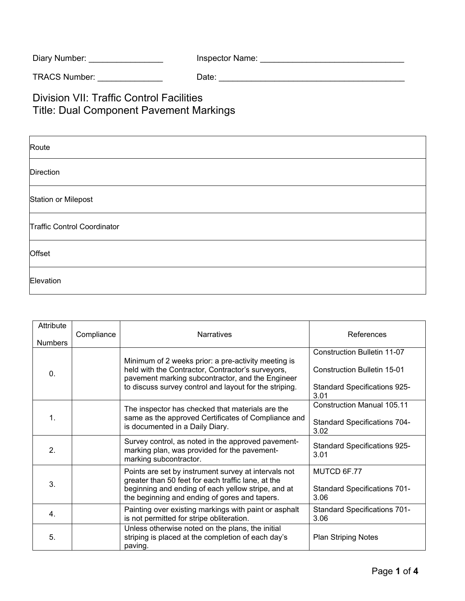| Diary Number: | Inspector Name: |
|---------------|-----------------|
|---------------|-----------------|

TRACS Number: \_\_\_\_\_\_\_\_\_\_\_\_\_\_ Date: \_\_\_\_\_\_\_\_\_\_\_\_\_\_\_\_\_\_\_\_\_\_\_\_\_\_\_\_\_\_\_\_\_\_\_\_\_\_\_\_

Division VII: Traffic Control Facilities Title: Dual Component Pavement Markings

| Route                       |
|-----------------------------|
| Direction                   |
| Station or Milepost         |
| Traffic Control Coordinator |
| Offset                      |
| Elevation                   |

| Attribute<br><b>Numbers</b> | Compliance | <b>Narratives</b>                                                                                                                                                                                                      | References                                                                                                       |
|-----------------------------|------------|------------------------------------------------------------------------------------------------------------------------------------------------------------------------------------------------------------------------|------------------------------------------------------------------------------------------------------------------|
| $\mathbf{0}$ .              |            | Minimum of 2 weeks prior: a pre-activity meeting is<br>held with the Contractor, Contractor's surveyors,<br>pavement marking subcontractor, and the Engineer<br>to discuss survey control and layout for the striping. | Construction Bulletin 11-07<br><b>Construction Bulletin 15-01</b><br><b>Standard Specifications 925-</b><br>3.01 |
| 1.                          |            | The inspector has checked that materials are the<br>same as the approved Certificates of Compliance and<br>is documented in a Daily Diary.                                                                             | <b>Construction Manual 105.11</b><br><b>Standard Specifications 704-</b><br>3.02                                 |
| 2.                          |            | Survey control, as noted in the approved pavement-<br>marking plan, was provided for the pavement-<br>marking subcontractor.                                                                                           | <b>Standard Specifications 925-</b><br>3.01                                                                      |
| 3.                          |            | Points are set by instrument survey at intervals not<br>greater than 50 feet for each traffic lane, at the<br>beginning and ending of each yellow stripe, and at<br>the beginning and ending of gores and tapers.      | MUTCD 6F.77<br><b>Standard Specifications 701-</b><br>3.06                                                       |
| 4.                          |            | Painting over existing markings with paint or asphalt<br>is not permitted for stripe obliteration.                                                                                                                     | <b>Standard Specifications 701-</b><br>3.06                                                                      |
| 5.                          |            | Unless otherwise noted on the plans, the initial<br>striping is placed at the completion of each day's<br>paving.                                                                                                      | <b>Plan Striping Notes</b>                                                                                       |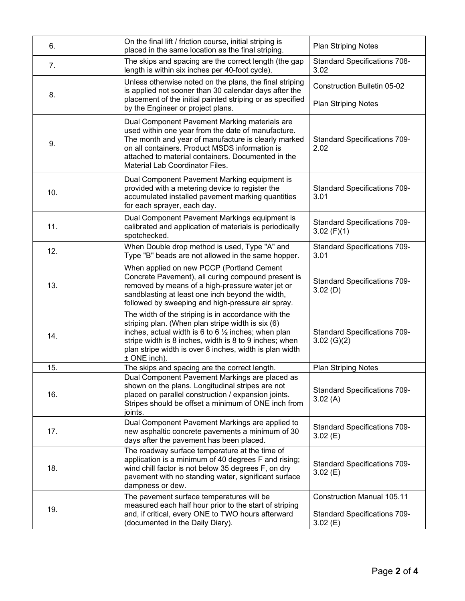| 6.  | On the final lift / friction course, initial striping is<br>placed in the same location as the final striping.                                                                                                                                                                                                    | <b>Plan Striping Notes</b>                                                          |
|-----|-------------------------------------------------------------------------------------------------------------------------------------------------------------------------------------------------------------------------------------------------------------------------------------------------------------------|-------------------------------------------------------------------------------------|
| 7.  | The skips and spacing are the correct length (the gap<br>length is within six inches per 40-foot cycle).                                                                                                                                                                                                          | <b>Standard Specifications 708-</b><br>3.02                                         |
| 8.  | Unless otherwise noted on the plans, the final striping<br>is applied not sooner than 30 calendar days after the<br>placement of the initial painted striping or as specified<br>by the Engineer or project plans.                                                                                                | <b>Construction Bulletin 05-02</b><br><b>Plan Striping Notes</b>                    |
| 9.  | Dual Component Pavement Marking materials are<br>used within one year from the date of manufacture.<br>The month and year of manufacture is clearly marked<br>on all containers. Product MSDS information is<br>attached to material containers. Documented in the<br>Material Lab Coordinator Files.             | <b>Standard Specifications 709-</b><br>2.02                                         |
| 10. | Dual Component Pavement Marking equipment is<br>provided with a metering device to register the<br>accumulated installed pavement marking quantities<br>for each sprayer, each day.                                                                                                                               | <b>Standard Specifications 709-</b><br>3.01                                         |
| 11. | Dual Component Pavement Markings equipment is<br>calibrated and application of materials is periodically<br>spotchecked.                                                                                                                                                                                          | <b>Standard Specifications 709-</b><br>3.02 $(F)(1)$                                |
| 12. | When Double drop method is used, Type "A" and<br>Type "B" beads are not allowed in the same hopper.                                                                                                                                                                                                               | <b>Standard Specifications 709-</b><br>3.01                                         |
| 13. | When applied on new PCCP (Portland Cement<br>Concrete Pavement), all curing compound present is<br>removed by means of a high-pressure water jet or<br>sandblasting at least one inch beyond the width,<br>followed by sweeping and high-pressure air spray.                                                      | <b>Standard Specifications 709-</b><br>3.02(D)                                      |
| 14. | The width of the striping is in accordance with the<br>striping plan. (When plan stripe width is six (6)<br>inches, actual width is 6 to 6 $\frac{1}{2}$ inches; when plan<br>stripe width is 8 inches, width is 8 to 9 inches; when<br>plan stripe width is over 8 inches, width is plan width<br>$±$ ONE inch). | <b>Standard Specifications 709-</b><br>$3.02$ (G)(2)                                |
| 15. | The skips and spacing are the correct length.                                                                                                                                                                                                                                                                     | <b>Plan Striping Notes</b>                                                          |
| 16. | Dual Component Pavement Markings are placed as<br>shown on the plans. Longitudinal stripes are not<br>placed on parallel construction / expansion joints.<br>Stripes should be offset a minimum of ONE inch from<br>joints.                                                                                       | <b>Standard Specifications 709-</b><br>3.02(A)                                      |
| 17. | Dual Component Pavement Markings are applied to<br>new asphaltic concrete pavements a minimum of 30<br>days after the pavement has been placed.                                                                                                                                                                   | <b>Standard Specifications 709-</b><br>3.02(E)                                      |
| 18. | The roadway surface temperature at the time of<br>application is a minimum of 40 degrees F and rising;<br>wind chill factor is not below 35 degrees F, on dry<br>pavement with no standing water, significant surface<br>dampness or dew.                                                                         | <b>Standard Specifications 709-</b><br>3.02(E)                                      |
| 19. | The pavement surface temperatures will be<br>measured each half hour prior to the start of striping<br>and, if critical, every ONE to TWO hours afterward<br>(documented in the Daily Diary).                                                                                                                     | <b>Construction Manual 105.11</b><br><b>Standard Specifications 709-</b><br>3.02(E) |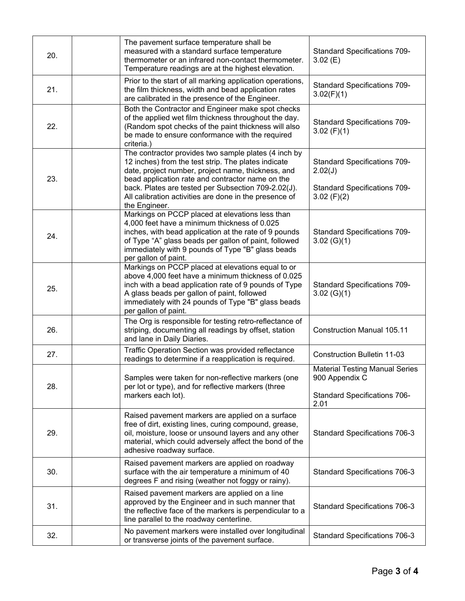| 20. | The pavement surface temperature shall be<br>measured with a standard surface temperature<br>thermometer or an infrared non-contact thermometer.<br>Temperature readings are at the highest elevation.                                                                                                                                                  | <b>Standard Specifications 709-</b><br>3.02(E)                                                         |
|-----|---------------------------------------------------------------------------------------------------------------------------------------------------------------------------------------------------------------------------------------------------------------------------------------------------------------------------------------------------------|--------------------------------------------------------------------------------------------------------|
| 21. | Prior to the start of all marking application operations,<br>the film thickness, width and bead application rates<br>are calibrated in the presence of the Engineer.                                                                                                                                                                                    | <b>Standard Specifications 709-</b><br>3.02(F)(1)                                                      |
| 22. | Both the Contractor and Engineer make spot checks<br>of the applied wet film thickness throughout the day.<br>(Random spot checks of the paint thickness will also<br>be made to ensure conformance with the required<br>criteria.)                                                                                                                     | <b>Standard Specifications 709-</b><br>3.02 $(F)(1)$                                                   |
| 23. | The contractor provides two sample plates (4 inch by<br>12 inches) from the test strip. The plates indicate<br>date, project number, project name, thickness, and<br>bead application rate and contractor name on the<br>back. Plates are tested per Subsection 709-2.02(J).<br>All calibration activities are done in the presence of<br>the Engineer. | <b>Standard Specifications 709-</b><br>2.02(J)<br><b>Standard Specifications 709-</b><br>$3.02$ (F)(2) |
| 24. | Markings on PCCP placed at elevations less than<br>4,000 feet have a minimum thickness of 0.025<br>inches, with bead application at the rate of 9 pounds<br>of Type "A" glass beads per gallon of paint, followed<br>immediately with 9 pounds of Type "B" glass beads<br>per gallon of paint.                                                          | <b>Standard Specifications 709-</b><br>3.02(G)(1)                                                      |
| 25. | Markings on PCCP placed at elevations equal to or<br>above 4,000 feet have a minimum thickness of 0.025<br>inch with a bead application rate of 9 pounds of Type<br>A glass beads per gallon of paint, followed<br>immediately with 24 pounds of Type "B" glass beads<br>per gallon of paint.                                                           | <b>Standard Specifications 709-</b><br>3.02(G)(1)                                                      |
| 26. | The Org is responsible for testing retro-reflectance of<br>striping, documenting all readings by offset, station<br>and lane in Daily Diaries.                                                                                                                                                                                                          | <b>Construction Manual 105.11</b>                                                                      |
| 27. | Traffic Operation Section was provided reflectance<br>readings to determine if a reapplication is required.                                                                                                                                                                                                                                             | <b>Construction Bulletin 11-03</b>                                                                     |
| 28. | Samples were taken for non-reflective markers (one<br>per lot or type), and for reflective markers (three<br>markers each lot).                                                                                                                                                                                                                         | <b>Material Testing Manual Series</b><br>900 Appendix C<br><b>Standard Specifications 706-</b><br>2.01 |
| 29. | Raised pavement markers are applied on a surface<br>free of dirt, existing lines, curing compound, grease,<br>oil, moisture, loose or unsound layers and any other<br>material, which could adversely affect the bond of the<br>adhesive roadway surface.                                                                                               | <b>Standard Specifications 706-3</b>                                                                   |
| 30. | Raised pavement markers are applied on roadway<br>surface with the air temperature a minimum of 40<br>degrees F and rising (weather not foggy or rainy).                                                                                                                                                                                                | Standard Specifications 706-3                                                                          |
| 31. | Raised pavement markers are applied on a line<br>approved by the Engineer and in such manner that<br>the reflective face of the markers is perpendicular to a<br>line parallel to the roadway centerline.                                                                                                                                               | <b>Standard Specifications 706-3</b>                                                                   |
| 32. | No pavement markers were installed over longitudinal<br>or transverse joints of the pavement surface.                                                                                                                                                                                                                                                   | Standard Specifications 706-3                                                                          |